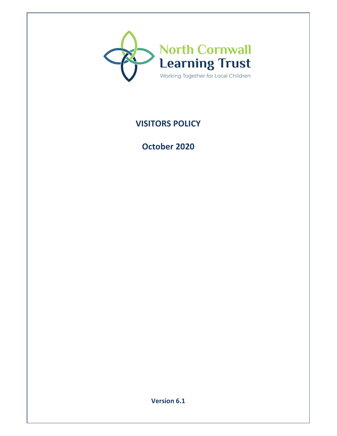

# **VISITORS POLICY**

**October 2020** 

**Version 6.1**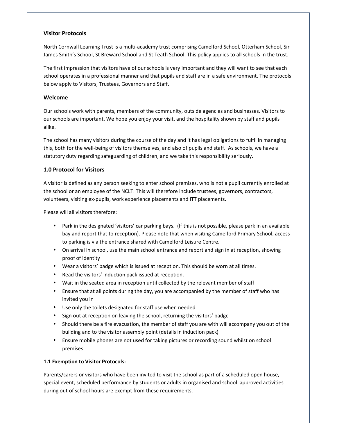#### **Visitor Protocols**

North Cornwall Learning Trust is a multi-academy trust comprising Camelford School, Otterham School, Sir James Smith's School, St Breward School and St Teath School. This policy applies to all schools in the trust.

The first impression that visitors have of our schools is very important and they will want to see that each school operates in a professional manner and that pupils and staff are in a safe environment. The protocols below apply to Visitors, Trustees, Governors and Staff.

#### **Welcome**

Our schools work with parents, members of the community, outside agencies and businesses. Visitors to our schools are important**.** We hope you enjoy your visit, and the hospitality shown by staff and pupils alike.

The school has many visitors during the course of the day and it has legal obligations to fulfil in managing this, both for the well-being of visitors themselves, and also of pupils and staff. As schools, we have a statutory duty regarding safeguarding of children, and we take this responsibility seriously.

# **1.0 Protocol for Visitors**

A visitor is defined as any person seeking to enter school premises, who is not a pupil currently enrolled at the school or an employee of the NCLT. This will therefore include trustees, governors, contractors, volunteers, visiting ex-pupils, work experience placements and ITT placements.

Please will all visitors therefore:

- Park in the designated 'visitors' car parking bays. (If this is not possible, please park in an available bay and report that to reception). Please note that when visiting Camelford Primary School, access to parking is via the entrance shared with Camelford Leisure Centre.
- On arrival in school, use the main school entrance and report and sign in at reception, showing proof of identity
- Wear a visitors' badge which is issued at reception. This should be worn at all times.
- Read the visitors' induction pack issued at reception.
- Wait in the seated area in reception until collected by the relevant member of staff
- Ensure that at all points during the day, you are accompanied by the member of staff who has invited you in
- Use only the toilets designated for staff use when needed
- Sign out at reception on leaving the school, returning the visitors' badge
- Should there be a fire evacuation, the member of staff you are with will accompany you out of the building and to the visitor assembly point (details in induction pack)
- Ensure mobile phones are not used for taking pictures or recording sound whilst on school premises

#### **1.1 Exemption to Visitor Protocols:**

Parents/carers or visitors who have been invited to visit the school as part of a scheduled open house, special event, scheduled performance by students or adults in organised and school approved activities during out of school hours are exempt from these requirements.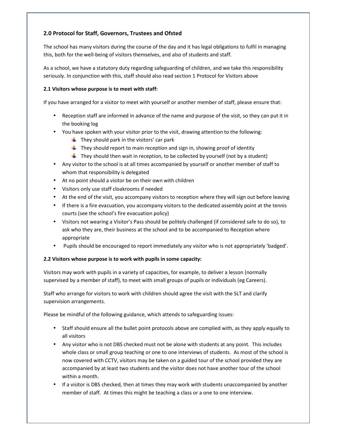# **2.0 Protocol for Staff, Governors, Trustees and Ofsted**

The school has many visitors during the course of the day and it has legal obligations to fulfil in managing this, both for the well-being of visitors themselves, and also of students and staff.

As a school, we have a statutory duty regarding safeguarding of children, and we take this responsibility seriously. In conjunction with this, staff should also read section 1 Protocol for Visitors above

#### **2.1 Visitors whose purpose is to meet with staff:**

If you have arranged for a visitor to meet with yourself or another member of staff, please ensure that:

- Reception staff are informed in advance of the name and purpose of the visit, so they can put it in the booking log
- You have spoken with your visitor prior to the visit, drawing attention to the following:
	- $\ddot{\bullet}$  They should park in the visitors' car park
	- $\ddot{\bullet}$  They should report to main reception and sign in, showing proof of identity
	- $\downarrow$  They should then wait in reception, to be collected by yourself (not by a student)
- Any visitor to the school is at all times accompanied by yourself or another member of staff to whom that responsibility is delegated
- At no point should a visitor be on their own with children
- Visitors only use staff cloakrooms if needed
- At the end of the visit, you accompany visitors to reception where they will sign out before leaving
- If there is a fire evacuation, you accompany visitors to the dedicated assembly point at the tennis courts (see the school's fire evacuation policy)
- Visitors not wearing a Visitor's Pass should be politely challenged (if considered safe to do so), to ask who they are, their business at the school and to be accompanied to Reception where appropriate
- Pupils should be encouraged to report immediately any visitor who is not appropriately 'badged'.

#### **2.2 Visitors whose purpose is to work with pupils in some capacity:**

Visitors may work with pupils in a variety of capacities, for example, to deliver a lesson (normally supervised by a member of staff), to meet with small groups of pupils or individuals (eg Careers).

Staff who arrange for visitors to work with children should agree the visit with the SLT and clarify supervision arrangements.

Please be mindful of the following guidance, which attends to safeguarding issues:

- Staff should ensure all the bullet point protocols above are complied with, as they apply equally to all visitors
- Any visitor who is not DBS checked must not be alone with students at any point. This includes whole class or small group teaching or one to one interviews of students. As most of the school is now covered with CCTV, visitors may be taken on a guided tour of the school provided they are accompanied by at least two students and the visitor does not have another tour of the school within a month.
- If a visitor is DBS checked, then at times they may work with students unaccompanied by another member of staff. At times this might be teaching a class or a one to one interview.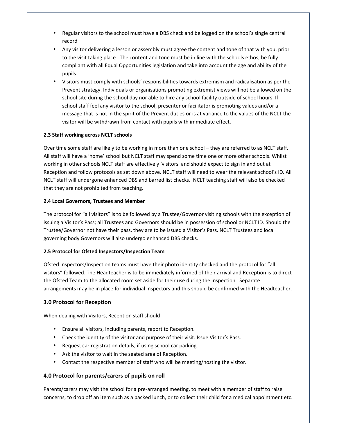- Regular visitors to the school must have a DBS check and be logged on the school's single central record
- Any visitor delivering a lesson or assembly must agree the content and tone of that with you, prior to the visit taking place. The content and tone must be in line with the schools ethos, be fully compliant with all Equal Opportunities legislation and take into account the age and ability of the pupils
- Visitors must comply with schools' responsibilities towards extremism and radicalisation as per the Prevent strategy. Individuals or organisations promoting extremist views will not be allowed on the school site during the school day nor able to hire any school facility outside of school hours. If school staff feel any visitor to the school, presenter or facilitator is promoting values and/or a message that is not in the spirit of the Prevent duties or is at variance to the values of the NCLT the visitor will be withdrawn from contact with pupils with immediate effect.

## **2.3 Staff working across NCLT schools**

Over time some staff are likely to be working in more than one school – they are referred to as NCLT staff. All staff will have a 'home' school but NCLT staff may spend some time one or more other schools. Whilst working in other schools NCLT staff are effectively 'visitors' and should expect to sign in and out at Reception and follow protocols as set down above. NCLT staff will need to wear the relevant school's ID. All NCLT staff will undergone enhanced DBS and barred list checks. NCLT teaching staff will also be checked that they are not prohibited from teaching.

#### **2.4 Local Governors, Trustees and Member**

The protocol for "all visitors" is to be followed by a Trustee/Governor visiting schools with the exception of issuing a Visitor's Pass; all Trustees and Governors should be in possession of school or NCLT ID. Should the Trustee/Governor not have their pass, they are to be issued a Visitor's Pass. NCLT Trustees and local governing body Governors will also undergo enhanced DBS checks.

#### **2.5 Protocol for Ofsted Inspectors/Inspection Team**

Ofsted Inspectors/Inspection teams must have their photo identity checked and the protocol for "all visitors" followed. The Headteacher is to be immediately informed of their arrival and Reception is to direct the Ofsted Team to the allocated room set aside for their use during the inspection. Separate arrangements may be in place for individual inspectors and this should be confirmed with the Headteacher.

#### **3.0 Protocol for Reception**

When dealing with Visitors, Reception staff should

- Ensure all visitors, including parents, report to Reception.
- Check the identity of the visitor and purpose of their visit. Issue Visitor's Pass.
- Request car registration details, if using school car parking.
- Ask the visitor to wait in the seated area of Reception.
- Contact the respective member of staff who will be meeting/hosting the visitor.

# **4.0 Protocol for parents/carers of pupils on roll**

Parents/carers may visit the school for a pre-arranged meeting, to meet with a member of staff to raise concerns, to drop off an item such as a packed lunch, or to collect their child for a medical appointment etc.